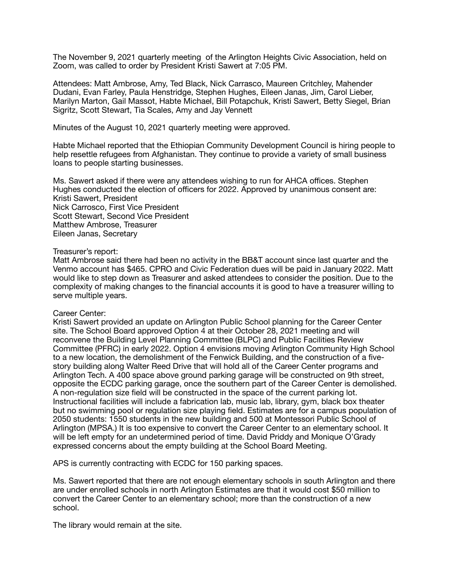The November 9, 2021 quarterly meeting of the Arlington Heights Civic Association, held on Zoom, was called to order by President Kristi Sawert at 7:05 PM.

Attendees: Matt Ambrose, Amy, Ted Black, Nick Carrasco, Maureen Critchley, Mahender Dudani, Evan Farley, Paula Henstridge, Stephen Hughes, Eileen Janas, Jim, Carol Lieber, Marilyn Marton, Gail Massot, Habte Michael, Bill Potapchuk, Kristi Sawert, Betty Siegel, Brian Sigritz, Scott Stewart, Tia Scales, Amy and Jay Vennett

Minutes of the August 10, 2021 quarterly meeting were approved.

Habte Michael reported that the Ethiopian Community Development Council is hiring people to help resettle refugees from Afghanistan. They continue to provide a variety of small business loans to people starting businesses.

Ms. Sawert asked if there were any attendees wishing to run for AHCA offices. Stephen Hughes conducted the election of officers for 2022. Approved by unanimous consent are: Kristi Sawert, President Nick Carrosco, First Vice President Scott Stewart, Second Vice President Matthew Ambrose, Treasurer Eileen Janas, Secretary

## Treasurer's report:

Matt Ambrose said there had been no activity in the BB&T account since last quarter and the Venmo account has \$465. CPRO and Civic Federation dues will be paid in January 2022. Matt would like to step down as Treasurer and asked attendees to consider the position. Due to the complexity of making changes to the financial accounts it is good to have a treasurer willing to serve multiple years.

## Career Center:

Kristi Sawert provided an update on Arlington Public School planning for the Career Center site. The School Board approved Option 4 at their October 28, 2021 meeting and will reconvene the Building Level Planning Committee (BLPC) and Public Facilities Review Committee (PFRC) in early 2022. Option 4 envisions moving Arlington Community High School to a new location, the demolishment of the Fenwick Building, and the construction of a fivestory building along Walter Reed Drive that will hold all of the Career Center programs and Arlington Tech. A 400 space above ground parking garage will be constructed on 9th street, opposite the ECDC parking garage, once the southern part of the Career Center is demolished. A non-regulation size field will be constructed in the space of the current parking lot. Instructional facilities will include a fabrication lab, music lab, library, gym, black box theater but no swimming pool or regulation size playing field. Estimates are for a campus population of 2050 students: 1550 students in the new building and 500 at Montessori Public School of Arlington (MPSA.) It is too expensive to convert the Career Center to an elementary school. It will be left empty for an undetermined period of time. David Priddy and Monique O'Grady expressed concerns about the empty building at the School Board Meeting.

APS is currently contracting with ECDC for 150 parking spaces.

Ms. Sawert reported that there are not enough elementary schools in south Arlington and there are under enrolled schools in north Arlington Estimates are that it would cost \$50 million to convert the Career Center to an elementary school; more than the construction of a new school.

The library would remain at the site.